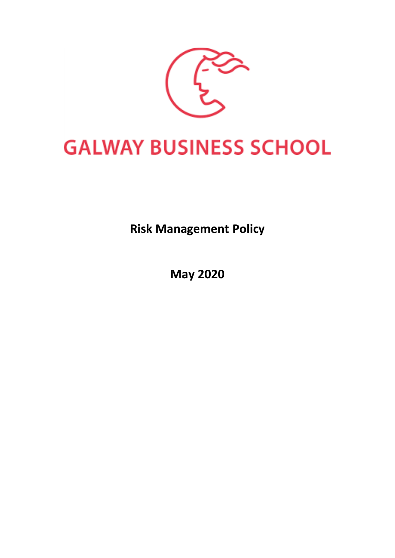

# **GALWAY BUSINESS SCHOOL**

**Risk Management Policy**

**May 2020**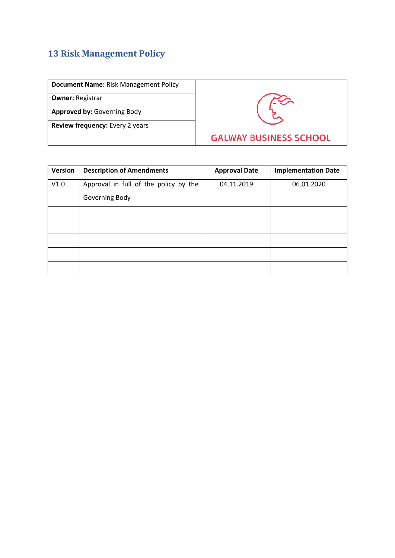# **13 Risk Management Policy**

| Document Name: Risk Management Policy |  |
|---------------------------------------|--|
|---------------------------------------|--|

**Owner:** Registrar

**Approved by:** Governing Body

**Review frequency:** Every 2 years



| Version | <b>Description of Amendments</b>      | <b>Approval Date</b> | <b>Implementation Date</b> |
|---------|---------------------------------------|----------------------|----------------------------|
| V1.0    | Approval in full of the policy by the | 04.11.2019           | 06.01.2020                 |
|         | Governing Body                        |                      |                            |
|         |                                       |                      |                            |
|         |                                       |                      |                            |
|         |                                       |                      |                            |
|         |                                       |                      |                            |
|         |                                       |                      |                            |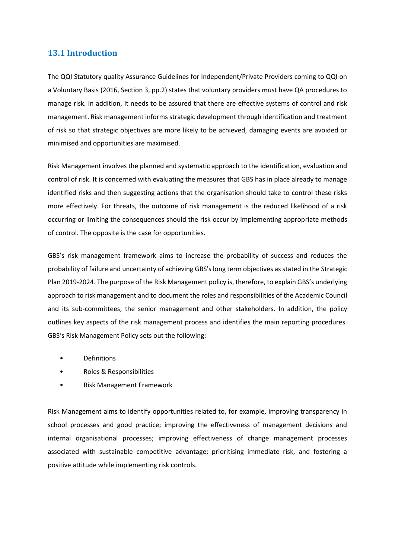# **13.1 Introduction**

The QQI Statutory quality Assurance Guidelines for Independent/Private Providers coming to QQI on a Voluntary Basis (2016, Section 3, pp.2) states that voluntary providers must have QA procedures to manage risk. In addition, it needs to be assured that there are effective systems of control and risk management. Risk management informs strategic development through identification and treatment of risk so that strategic objectives are more likely to be achieved, damaging events are avoided or minimised and opportunities are maximised.

Risk Management involves the planned and systematic approach to the identification, evaluation and control of risk. It is concerned with evaluating the measures that GBS has in place already to manage identified risks and then suggesting actions that the organisation should take to control these risks more effectively. For threats, the outcome of risk management is the reduced likelihood of a risk occurring or limiting the consequences should the risk occur by implementing appropriate methods of control. The opposite is the case for opportunities.

GBS's risk management framework aims to increase the probability of success and reduces the probability of failure and uncertainty of achieving GBS's long term objectives as stated in the Strategic Plan 2019-2024. The purpose of the Risk Management policy is, therefore, to explain GBS's underlying approach to risk management and to document the roles and responsibilities of the Academic Council and its sub-committees, the senior management and other stakeholders. In addition, the policy outlines key aspects of the risk management process and identifies the main reporting procedures. GBS's Risk Management Policy sets out the following:

- **Definitions**
- Roles & Responsibilities
- Risk Management Framework

Risk Management aims to identify opportunities related to, for example, improving transparency in school processes and good practice; improving the effectiveness of management decisions and internal organisational processes; improving effectiveness of change management processes associated with sustainable competitive advantage; prioritising immediate risk, and fostering a positive attitude while implementing risk controls.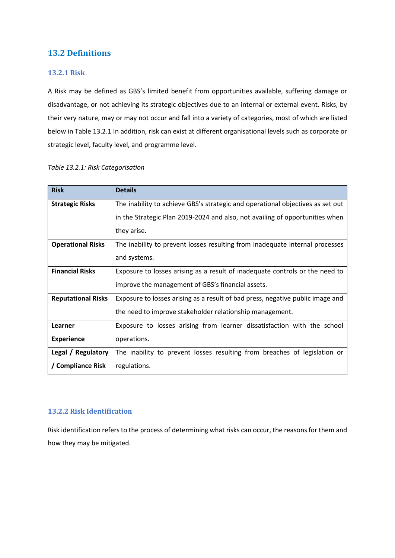# **13.2 Definitions**

# **13.2.1 Risk**

A Risk may be defined as GBS's limited benefit from opportunities available, suffering damage or disadvantage, or not achieving its strategic objectives due to an internal or external event. Risks, by their very nature, may or may not occur and fall into a variety of categories, most of which are listed below in Table 13.2.1 In addition, risk can exist at different organisational levels such as corporate or strategic level, faculty level, and programme level.

| <b>Risk</b>               | <b>Details</b>                                                                 |
|---------------------------|--------------------------------------------------------------------------------|
| <b>Strategic Risks</b>    | The inability to achieve GBS's strategic and operational objectives as set out |
|                           | in the Strategic Plan 2019-2024 and also, not availing of opportunities when   |
|                           | they arise.                                                                    |
| <b>Operational Risks</b>  | The inability to prevent losses resulting from inadequate internal processes   |
|                           | and systems.                                                                   |
| <b>Financial Risks</b>    | Exposure to losses arising as a result of inadequate controls or the need to   |
|                           | improve the management of GBS's financial assets.                              |
| <b>Reputational Risks</b> | Exposure to losses arising as a result of bad press, negative public image and |
|                           | the need to improve stakeholder relationship management.                       |
| Learner                   | Exposure to losses arising from learner dissatisfaction with the school        |
| <b>Experience</b>         | operations.                                                                    |
| Legal / Regulatory        | The inability to prevent losses resulting from breaches of legislation or      |
| / Compliance Risk         | regulations.                                                                   |

#### *Table 13.2.1: Risk Categorisation*

## **13.2.2 Risk Identification**

Risk identification refers to the process of determining what risks can occur, the reasons for them and how they may be mitigated.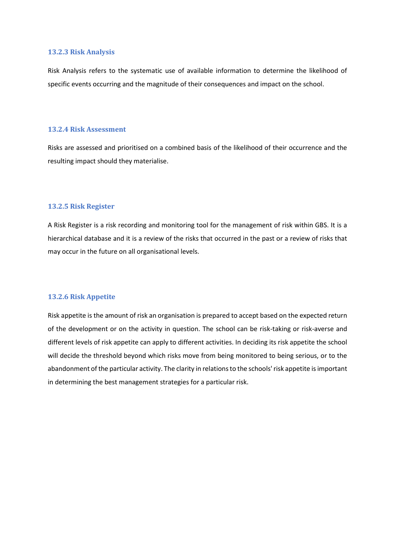#### **13.2.3 Risk Analysis**

Risk Analysis refers to the systematic use of available information to determine the likelihood of specific events occurring and the magnitude of their consequences and impact on the school.

#### **13.2.4 Risk Assessment**

Risks are assessed and prioritised on a combined basis of the likelihood of their occurrence and the resulting impact should they materialise.

#### **13.2.5 Risk Register**

A Risk Register is a risk recording and monitoring tool for the management of risk within GBS. It is a hierarchical database and it is a review of the risks that occurred in the past or a review of risks that may occur in the future on all organisational levels.

#### **13.2.6 Risk Appetite**

Risk appetite is the amount of risk an organisation is prepared to accept based on the expected return of the development or on the activity in question. The school can be risk-taking or risk-averse and different levels of risk appetite can apply to different activities. In deciding its risk appetite the school will decide the threshold beyond which risks move from being monitored to being serious, or to the abandonment of the particular activity. The clarity in relations to the schools' risk appetite is important in determining the best management strategies for a particular risk.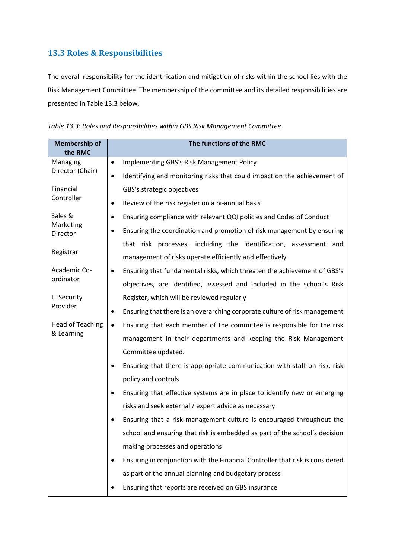# **13.3 Roles & Responsibilities**

The overall responsibility for the identification and mitigation of risks within the school lies with the Risk Management Committee. The membership of the committee and its detailed responsibilities are presented in Table 13.3 below.

*Table 13.3: Roles and Responsibilities within GBS Risk Management Committee*

| <b>Membership of</b><br>the RMC | The functions of the RMC                                                              |  |  |  |
|---------------------------------|---------------------------------------------------------------------------------------|--|--|--|
| Managing                        | Implementing GBS's Risk Management Policy<br>$\bullet$                                |  |  |  |
| Director (Chair)                | Identifying and monitoring risks that could impact on the achievement of<br>$\bullet$ |  |  |  |
| Financial                       | GBS's strategic objectives                                                            |  |  |  |
| Controller                      | Review of the risk register on a bi-annual basis                                      |  |  |  |
| Sales &                         | Ensuring compliance with relevant QQI policies and Codes of Conduct<br>$\bullet$      |  |  |  |
| Marketing<br>Director           | Ensuring the coordination and promotion of risk management by ensuring<br>٠           |  |  |  |
|                                 | that risk processes, including the identification, assessment and                     |  |  |  |
| Registrar                       | management of risks operate efficiently and effectively                               |  |  |  |
| Academic Co-                    | Ensuring that fundamental risks, which threaten the achievement of GBS's<br>٠         |  |  |  |
| ordinator                       | objectives, are identified, assessed and included in the school's Risk                |  |  |  |
| <b>IT Security</b>              | Register, which will be reviewed regularly                                            |  |  |  |
| Provider                        | Ensuring that there is an overarching corporate culture of risk management<br>٠       |  |  |  |
| <b>Head of Teaching</b>         | Ensuring that each member of the committee is responsible for the risk<br>$\bullet$   |  |  |  |
| & Learning                      | management in their departments and keeping the Risk Management                       |  |  |  |
|                                 | Committee updated.                                                                    |  |  |  |
|                                 | Ensuring that there is appropriate communication with staff on risk, risk             |  |  |  |
|                                 | policy and controls                                                                   |  |  |  |
|                                 | Ensuring that effective systems are in place to identify new or emerging<br>$\bullet$ |  |  |  |
|                                 | risks and seek external / expert advice as necessary                                  |  |  |  |
|                                 | Ensuring that a risk management culture is encouraged throughout the                  |  |  |  |
|                                 | school and ensuring that risk is embedded as part of the school's decision            |  |  |  |
|                                 | making processes and operations                                                       |  |  |  |
|                                 | Ensuring in conjunction with the Financial Controller that risk is considered<br>٠    |  |  |  |
|                                 | as part of the annual planning and budgetary process                                  |  |  |  |
|                                 | Ensuring that reports are received on GBS insurance                                   |  |  |  |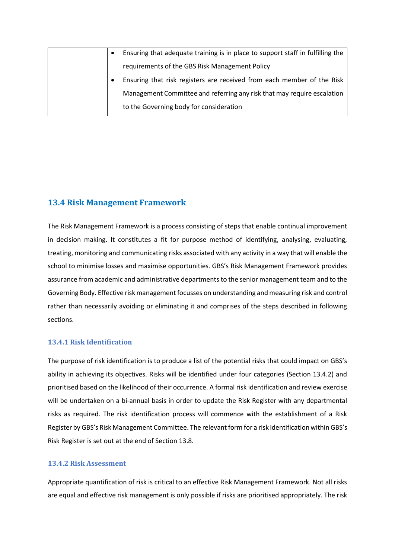|  | Ensuring that adequate training is in place to support staff in fulfilling the |
|--|--------------------------------------------------------------------------------|
|  | requirements of the GBS Risk Management Policy                                 |
|  | Ensuring that risk registers are received from each member of the Risk         |
|  | Management Committee and referring any risk that may require escalation        |
|  | to the Governing body for consideration                                        |

# **13.4 Risk Management Framework**

The Risk Management Framework is a process consisting of steps that enable continual improvement in decision making. It constitutes a fit for purpose method of identifying, analysing, evaluating, treating, monitoring and communicating risks associated with any activity in a way that will enable the school to minimise losses and maximise opportunities. GBS's Risk Management Framework provides assurance from academic and administrative departments to the senior management team and to the Governing Body. Effective risk management focusses on understanding and measuring risk and control rather than necessarily avoiding or eliminating it and comprises of the steps described in following sections.

## **13.4.1 Risk Identification**

The purpose of risk identification is to produce a list of the potential risks that could impact on GBS's ability in achieving its objectives. Risks will be identified under four categories (Section 13.4.2) and prioritised based on the likelihood of their occurrence. A formal risk identification and review exercise will be undertaken on a bi-annual basis in order to update the Risk Register with any departmental risks as required. The risk identification process will commence with the establishment of a Risk Register by GBS's Risk Management Committee. The relevant form for a risk identification within GBS's Risk Register is set out at the end of Section 13.8.

## **13.4.2 Risk Assessment**

Appropriate quantification of risk is critical to an effective Risk Management Framework. Not all risks are equal and effective risk management is only possible if risks are prioritised appropriately. The risk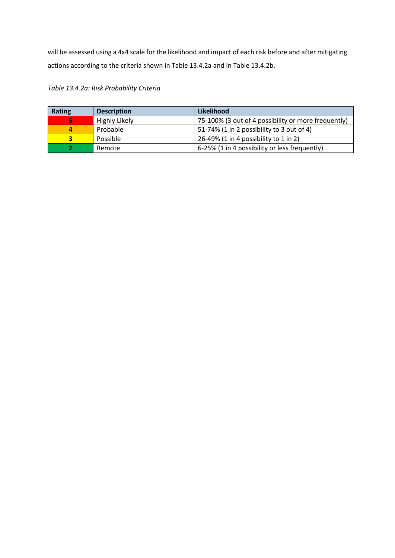will be assessed using a 4x4 scale for the likelihood and impact of each risk before and after mitigating actions according to the criteria shown in Table 13.4.2a and in Table 13.4.2b.

*Table 13.4.2a: Risk Probability Criteria*

| <b>Rating</b> | <b>Description</b> | Likelihood                                          |
|---------------|--------------------|-----------------------------------------------------|
| 67            | Highly Likely      | 75-100% (3 out of 4 possibility or more frequently) |
| 4             | Probable           | 51-74% (1 in 2 possibility to 3 out of 4)           |
|               | Possible           | 26-49% (1 in 4 possibility to 1 in 2)               |
|               | Remote             | 6-25% (1 in 4 possibility or less frequently)       |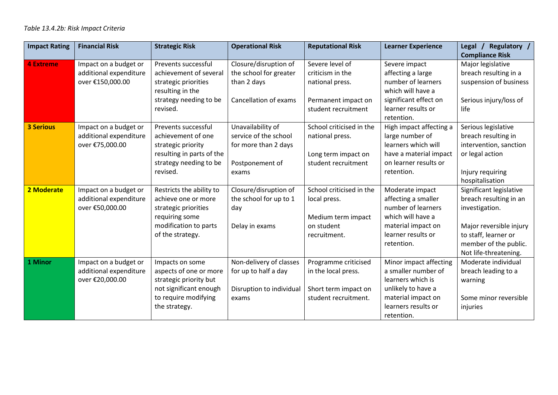| <b>Impact Rating</b> | <b>Financial Risk</b>                                               | <b>Strategic Risk</b>                                                                                                                  | <b>Operational Risk</b>                                                                        | <b>Reputational Risk</b>                                                                             | <b>Learner Experience</b>                                                                                                                           | Regulatory /<br>Legal $/$<br><b>Compliance Risk</b>                                                                                                                      |
|----------------------|---------------------------------------------------------------------|----------------------------------------------------------------------------------------------------------------------------------------|------------------------------------------------------------------------------------------------|------------------------------------------------------------------------------------------------------|-----------------------------------------------------------------------------------------------------------------------------------------------------|--------------------------------------------------------------------------------------------------------------------------------------------------------------------------|
| <b>4 Extreme</b>     | Impact on a budget or<br>additional expenditure<br>over €150,000.00 | Prevents successful<br>achievement of several<br>strategic priorities<br>resulting in the<br>strategy needing to be<br>revised.        | Closure/disruption of<br>the school for greater<br>than 2 days<br>Cancellation of exams        | Severe level of<br>criticism in the<br>national press.<br>Permanent impact on<br>student recruitment | Severe impact<br>affecting a large<br>number of learners<br>which will have a<br>significant effect on<br>learner results or<br>retention.          | Major legislative<br>breach resulting in a<br>suspension of business<br>Serious injury/loss of<br>life                                                                   |
| <b>3 Serious</b>     | Impact on a budget or<br>additional expenditure<br>over €75,000.00  | Prevents successful<br>achievement of one<br>strategic priority<br>resulting in parts of the<br>strategy needing to be<br>revised.     | Unavailability of<br>service of the school<br>for more than 2 days<br>Postponement of<br>exams | School criticised in the<br>national press.<br>Long term impact on<br>student recruitment            | High impact affecting a<br>large number of<br>learners which will<br>have a material impact<br>on learner results or<br>retention.                  | Serious legislative<br>breach resulting in<br>intervention, sanction<br>or legal action<br>Injury requiring<br>hospitalisation                                           |
| 2 Moderate           | Impact on a budget or<br>additional expenditure<br>over €50,000.00  | Restricts the ability to<br>achieve one or more<br>strategic priorities<br>requiring some<br>modification to parts<br>of the strategy. | Closure/disruption of<br>the school for up to 1<br>day<br>Delay in exams                       | School criticised in the<br>local press.<br>Medium term impact<br>on student<br>recruitment.         | Moderate impact<br>affecting a smaller<br>number of learners<br>which will have a<br>material impact on<br>learner results or<br>retention.         | Significant legislative<br>breach resulting in an<br>investigation.<br>Major reversible injury<br>to staff, learner or<br>member of the public.<br>Not life-threatening. |
| 1 Minor              | Impact on a budget or<br>additional expenditure<br>over €20,000.00  | Impacts on some<br>aspects of one or more<br>strategic priority but<br>not significant enough<br>to require modifying<br>the strategy. | Non-delivery of classes<br>for up to half a day<br>Disruption to individual<br>exams           | Programme criticised<br>in the local press.<br>Short term impact on<br>student recruitment.          | Minor impact affecting<br>a smaller number of<br>learners which is<br>unlikely to have a<br>material impact on<br>learners results or<br>retention. | Moderate individual<br>breach leading to a<br>warning<br>Some minor reversible<br>injuries                                                                               |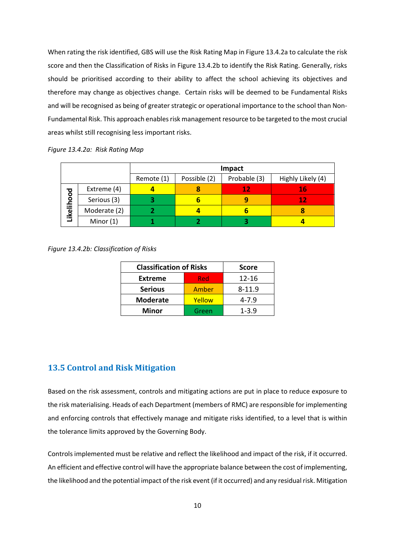When rating the risk identified, GBS will use the Risk Rating Map in Figure 13.4.2a to calculate the risk score and then the Classification of Risks in Figure 13.4.2b to identify the Risk Rating. Generally, risks should be prioritised according to their ability to affect the school achieving its objectives and therefore may change as objectives change. Certain risks will be deemed to be Fundamental Risks and will be recognised as being of greater strategic or operational importance to the school than Non-Fundamental Risk. This approach enables risk management resource to be targeted to the most crucial areas whilst still recognising less important risks.

|  | Figure 13.4.2a: Risk Rating Map |
|--|---------------------------------|
|--|---------------------------------|

|            |              | Impact                                                          |   |    |    |
|------------|--------------|-----------------------------------------------------------------|---|----|----|
|            |              | Probable (3)<br>Possible (2)<br>Remote (1)<br>Highly Likely (4) |   |    |    |
|            | Extreme (4)  |                                                                 |   | 12 | 16 |
|            | Serious (3)  |                                                                 | ь |    | 12 |
| Likelihood | Moderate (2) |                                                                 |   | ь  | 8  |
|            | Minor $(1)$  |                                                                 |   |    |    |

*Figure 13.4.2b: Classification of Risks*

| <b>Classification of Risks</b> | <b>Score</b> |            |
|--------------------------------|--------------|------------|
| <b>Extreme</b>                 | Red          | 12-16      |
| <b>Serious</b>                 | Amber        | $8 - 11.9$ |
| <b>Moderate</b>                | Yellow       | $4 - 7.9$  |
| <b>Minor</b>                   | Green        | $1 - 3.9$  |

# **13.5 Control and Risk Mitigation**

Based on the risk assessment, controls and mitigating actions are put in place to reduce exposure to the risk materialising. Heads of each Department (members of RMC) are responsible for implementing and enforcing controls that effectively manage and mitigate risks identified, to a level that is within the tolerance limits approved by the Governing Body.

Controls implemented must be relative and reflect the likelihood and impact of the risk, if it occurred. An efficient and effective control will have the appropriate balance between the cost of implementing, the likelihood and the potential impact of the risk event (if it occurred) and any residual risk. Mitigation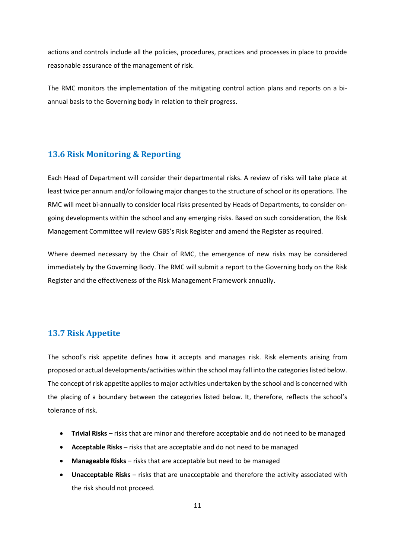actions and controls include all the policies, procedures, practices and processes in place to provide reasonable assurance of the management of risk.

The RMC monitors the implementation of the mitigating control action plans and reports on a biannual basis to the Governing body in relation to their progress.

## **13.6 Risk Monitoring & Reporting**

Each Head of Department will consider their departmental risks. A review of risks will take place at least twice per annum and/or following major changes to the structure of school or its operations. The RMC will meet bi-annually to consider local risks presented by Heads of Departments, to consider ongoing developments within the school and any emerging risks. Based on such consideration, the Risk Management Committee will review GBS's Risk Register and amend the Register as required.

Where deemed necessary by the Chair of RMC, the emergence of new risks may be considered immediately by the Governing Body. The RMC will submit a report to the Governing body on the Risk Register and the effectiveness of the Risk Management Framework annually.

# **13.7 Risk Appetite**

The school's risk appetite defines how it accepts and manages risk. Risk elements arising from proposed or actual developments/activities within the school may fall into the categories listed below. The concept of risk appetite applies to major activities undertaken by the school and is concerned with the placing of a boundary between the categories listed below. It, therefore, reflects the school's tolerance of risk.

- **Trivial Risks** risks that are minor and therefore acceptable and do not need to be managed
- **Acceptable Risks** risks that are acceptable and do not need to be managed
- **Manageable Risks**  risks that are acceptable but need to be managed
- **Unacceptable Risks** risks that are unacceptable and therefore the activity associated with the risk should not proceed.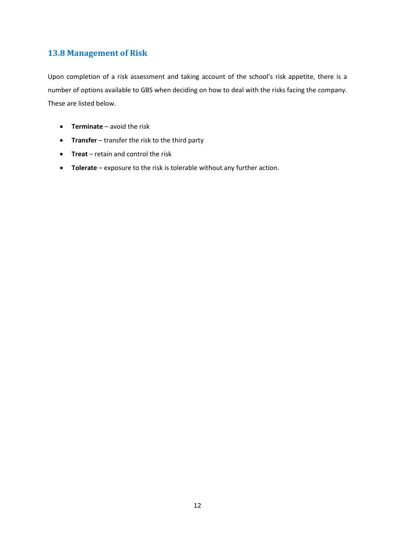# **13.8 Management of Risk**

Upon completion of a risk assessment and taking account of the school's risk appetite, there is a number of options available to GBS when deciding on how to deal with the risks facing the company. These are listed below.

- **Terminate** avoid the risk
- **Transfer** transfer the risk to the third party
- **Treat**  retain and control the risk
- **Tolerate** exposure to the risk is tolerable without any further action.